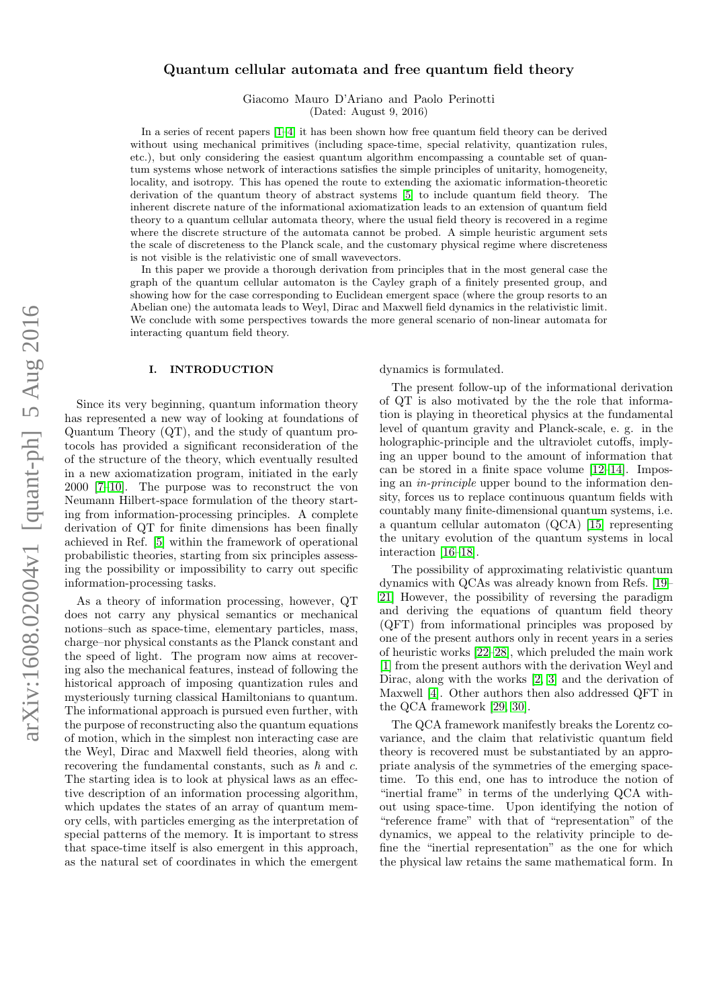# Quantum cellular automata and free quantum field theory

Giacomo Mauro D'Ariano and Paolo Perinotti (Dated: August 9, 2016)

In a series of recent papers [\[1–](#page-9-0)[4\]](#page-9-1) it has been shown how free quantum field theory can be derived without using mechanical primitives (including space-time, special relativity, quantization rules, etc.), but only considering the easiest quantum algorithm encompassing a countable set of quantum systems whose network of interactions satisfies the simple principles of unitarity, homogeneity, locality, and isotropy. This has opened the route to extending the axiomatic information-theoretic derivation of the quantum theory of abstract systems [\[5\]](#page-9-2) to include quantum field theory. The inherent discrete nature of the informational axiomatization leads to an extension of quantum field theory to a quantum cellular automata theory, where the usual field theory is recovered in a regime where the discrete structure of the automata cannot be probed. A simple heuristic argument sets the scale of discreteness to the Planck scale, and the customary physical regime where discreteness is not visible is the relativistic one of small wavevectors.

In this paper we provide a thorough derivation from principles that in the most general case the graph of the quantum cellular automaton is the Cayley graph of a finitely presented group, and showing how for the case corresponding to Euclidean emergent space (where the group resorts to an Abelian one) the automata leads to Weyl, Dirac and Maxwell field dynamics in the relativistic limit. We conclude with some perspectives towards the more general scenario of non-linear automata for interacting quantum field theory.

#### I. INTRODUCTION

Since its very beginning, quantum information theory has represented a new way of looking at foundations of Quantum Theory (QT), and the study of quantum protocols has provided a significant reconsideration of the of the structure of the theory, which eventually resulted in a new axiomatization program, initiated in the early 2000 [\[7–](#page-9-3)[10\]](#page-9-4). The purpose was to reconstruct the von Neumann Hilbert-space formulation of the theory starting from information-processing principles. A complete derivation of QT for finite dimensions has been finally achieved in Ref. [\[5\]](#page-9-2) within the framework of operational probabilistic theories, starting from six principles assessing the possibility or impossibility to carry out specific information-processing tasks.

As a theory of information processing, however, QT does not carry any physical semantics or mechanical notions–such as space-time, elementary particles, mass, charge–nor physical constants as the Planck constant and the speed of light. The program now aims at recovering also the mechanical features, instead of following the historical approach of imposing quantization rules and mysteriously turning classical Hamiltonians to quantum. The informational approach is pursued even further, with the purpose of reconstructing also the quantum equations of motion, which in the simplest non interacting case are the Weyl, Dirac and Maxwell field theories, along with recovering the fundamental constants, such as  $\hbar$  and c. The starting idea is to look at physical laws as an effective description of an information processing algorithm, which updates the states of an array of quantum memory cells, with particles emerging as the interpretation of special patterns of the memory. It is important to stress that space-time itself is also emergent in this approach, as the natural set of coordinates in which the emergent dynamics is formulated.

The present follow-up of the informational derivation of QT is also motivated by the the role that information is playing in theoretical physics at the fundamental level of quantum gravity and Planck-scale, e. g. in the holographic-principle and the ultraviolet cutoffs, implying an upper bound to the amount of information that can be stored in a finite space volume [\[12–](#page-9-5)[14\]](#page-9-6). Imposing an in-principle upper bound to the information density, forces us to replace continuous quantum fields with countably many finite-dimensional quantum systems, i.e. a quantum cellular automaton (QCA) [\[15\]](#page-9-7) representing the unitary evolution of the quantum systems in local interaction [\[16–](#page-9-8)[18\]](#page-9-9).

The possibility of approximating relativistic quantum dynamics with QCAs was already known from Refs. [\[19–](#page-9-10) [21\]](#page-9-11) However, the possibility of reversing the paradigm and deriving the equations of quantum field theory (QFT) from informational principles was proposed by one of the present authors only in recent years in a series of heuristic works [\[22](#page-9-12)[–28\]](#page-9-13), which preluded the main work [\[1\]](#page-9-0) from the present authors with the derivation Weyl and Dirac, along with the works [\[2,](#page-9-14) [3\]](#page-9-15) and the derivation of Maxwell [\[4\]](#page-9-1). Other authors then also addressed QFT in the QCA framework [\[29,](#page-9-16) [30\]](#page-9-17).

The QCA framework manifestly breaks the Lorentz covariance, and the claim that relativistic quantum field theory is recovered must be substantiated by an appropriate analysis of the symmetries of the emerging spacetime. To this end, one has to introduce the notion of "inertial frame" in terms of the underlying QCA without using space-time. Upon identifying the notion of "reference frame" with that of "representation" of the dynamics, we appeal to the relativity principle to define the "inertial representation" as the one for which the physical law retains the same mathematical form. In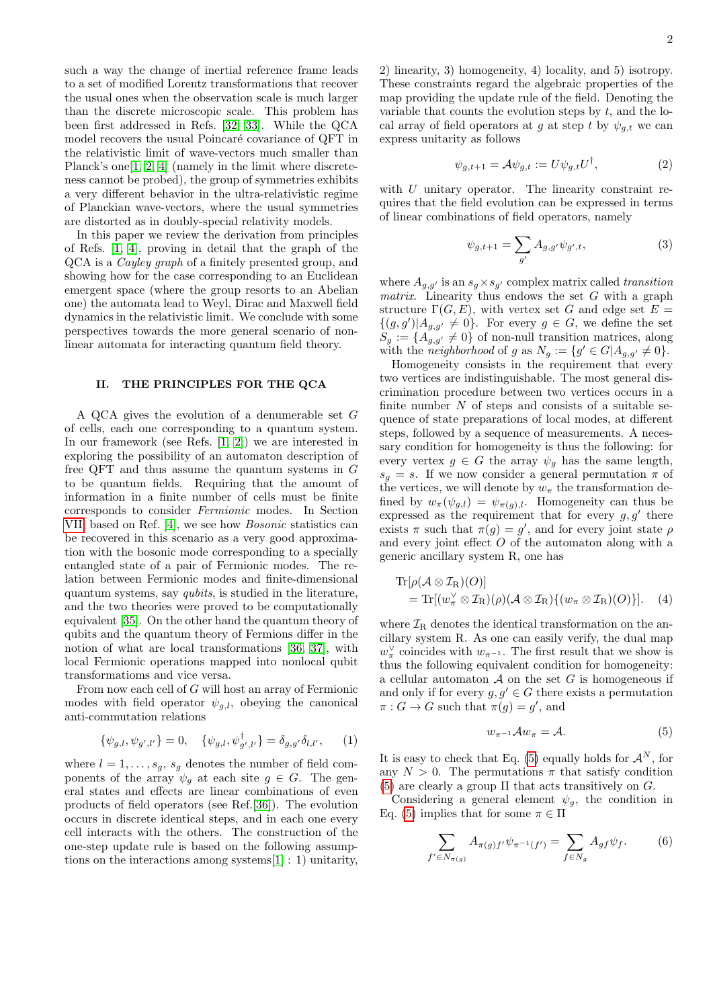2

such a way the change of inertial reference frame leads to a set of modified Lorentz transformations that recover the usual ones when the observation scale is much larger than the discrete microscopic scale. This problem has been first addressed in Refs. [\[32,](#page-9-18) [33\]](#page-9-19). While the QCA model recovers the usual Poincaré covariance of QFT in the relativistic limit of wave-vectors much smaller than Planck's one<sup>[\[1,](#page-9-0)2,4]</sup> (namely in the limit where discreteness cannot be probed), the group of symmetries exhibits a very different behavior in the ultra-relativistic regime of Planckian wave-vectors, where the usual symmetries are distorted as in doubly-special relativity models.

In this paper we review the derivation from principles of Refs. [\[1,](#page-9-0) [4\]](#page-9-1), proving in detail that the graph of the QCA is a Cayley graph of a finitely presented group, and showing how for the case corresponding to an Euclidean emergent space (where the group resorts to an Abelian one) the automata lead to Weyl, Dirac and Maxwell field dynamics in the relativistic limit. We conclude with some perspectives towards the more general scenario of nonlinear automata for interacting quantum field theory.

### <span id="page-1-3"></span>II. THE PRINCIPLES FOR THE QCA

A QCA gives the evolution of a denumerable set G of cells, each one corresponding to a quantum system. In our framework (see Refs. [\[1,](#page-9-0) [2\]](#page-9-14)) we are interested in exploring the possibility of an automaton description of free QFT and thus assume the quantum systems in G to be quantum fields. Requiring that the amount of information in a finite number of cells must be finite corresponds to consider Fermionic modes. In Section [VII,](#page-7-0) based on Ref. [\[4\]](#page-9-1), we see how Bosonic statistics can be recovered in this scenario as a very good approximation with the bosonic mode corresponding to a specially entangled state of a pair of Fermionic modes. The relation between Fermionic modes and finite-dimensional quantum systems, say qubits, is studied in the literature, and the two theories were proved to be computationally equivalent [\[35\]](#page-9-20). On the other hand the quantum theory of qubits and the quantum theory of Fermions differ in the notion of what are local transformations [\[36,](#page-9-21) [37\]](#page-9-22), with local Fermionic operations mapped into nonlocal qubit transformatioms and vice versa.

From now each cell of G will host an array of Fermionic modes with field operator  $\psi_{q,l}$ , obeying the canonical anti-commutation relations

$$
\{\psi_{g,l}, \psi_{g',l'}\} = 0, \quad \{\psi_{g,l}, \psi_{g',l'}^{\dagger}\} = \delta_{g,g'}\delta_{l,l'}, \quad (1)
$$

where  $l = 1, \ldots, s_g, s_g$  denotes the number of field components of the array  $\psi_q$  at each site  $g \in G$ . The general states and effects are linear combinations of even products of field operators (see Ref.[\[36\]](#page-9-21)). The evolution occurs in discrete identical steps, and in each one every cell interacts with the others. The construction of the one-step update rule is based on the following assumptions on the interactions among systems[\[1\]](#page-9-0) : 1) unitarity,

2) linearity, 3) homogeneity, 4) locality, and 5) isotropy. These constraints regard the algebraic properties of the map providing the update rule of the field. Denoting the variable that counts the evolution steps by  $t$ , and the local array of field operators at g at step t by  $\psi_{q,t}$  we can express unitarity as follows

$$
\psi_{g,t+1} = \mathcal{A}\psi_{g,t} := U\psi_{g,t}U^{\dagger},\tag{2}
$$

with  $U$  unitary operator. The linearity constraint requires that the field evolution can be expressed in terms of linear combinations of field operators, namely

$$
\psi_{g,t+1} = \sum_{g'} A_{g,g'} \psi_{g',t},\tag{3}
$$

where  $A_{g,g'}$  is an  $s_g \times s_{g'}$  complex matrix called transition *matrix*. Linearity thus endows the set  $G$  with a graph structure  $\Gamma(G, E)$ , with vertex set G and edge set  $E =$  ${(g, g')|A_{g,g'} \neq 0}.$  For every  $g \in G$ , we define the set  $S_g := \{A_{g,g'} \neq 0\}$  of non-null transition matrices, along with the neighborhood of g as  $N_g := \{g' \in G | A_{g,g'} \neq 0\}.$ 

Homogeneity consists in the requirement that every two vertices are indistinguishable. The most general discrimination procedure between two vertices occurs in a finite number  $N$  of steps and consists of a suitable sequence of state preparations of local modes, at different steps, followed by a sequence of measurements. A necessary condition for homogeneity is thus the following: for every vertex  $g \in G$  the array  $\psi_g$  has the same length,  $s_g = s$ . If we now consider a general permutation  $\pi$  of the vertices, we will denote by  $w_{\pi}$  the transformation defined by  $w_{\pi}(\psi_{g,l}) = \psi_{\pi(g),l}$ . Homogeneity can thus be expressed as the requirement that for every  $g, g'$  there exists  $\pi$  such that  $\pi(g) = g'$ , and for every joint state  $\rho$ and every joint effect O of the automaton along with a generic ancillary system R, one has

$$
\mathrm{Tr}[\rho(\mathcal{A}\otimes\mathcal{I}_{R})(O)]
$$
  
=  $\mathrm{Tr}[(w_{\pi}^{\vee}\otimes\mathcal{I}_{R})(\rho)(\mathcal{A}\otimes\mathcal{I}_{R})\{(w_{\pi}\otimes\mathcal{I}_{R})(O)\}].$  (4)

where  $\mathcal{I}_R$  denotes the identical transformation on the ancillary system R. As one can easily verify, the dual map  $w^{\vee}_{\pi}$  coincides with  $w_{\pi^{-1}}$ . The first result that we show is thus the following equivalent condition for homogeneity: a cellular automaton  $A$  on the set  $G$  is homogeneous if and only if for every  $g, g' \in G$  there exists a permutation  $\pi: G \to G$  such that  $\pi(g) = g'$ , and

<span id="page-1-2"></span><span id="page-1-1"></span><span id="page-1-0"></span>
$$
w_{\pi^{-1}}\mathcal{A}w_{\pi} = \mathcal{A}.\tag{5}
$$

It is easy to check that Eq. [\(5\)](#page-1-0) equally holds for  $\mathcal{A}^N$ , for any  $N > 0$ . The permutations  $\pi$  that satisfy condition [\(5\)](#page-1-0) are clearly a group  $\Pi$  that acts transitively on  $G$ .

Considering a general element  $\psi_g$ , the condition in Eq. [\(5\)](#page-1-0) implies that for some  $\pi \in \Pi$ 

$$
\sum_{f' \in N_{\pi(g)}} A_{\pi(g)f'} \psi_{\pi^{-1}(f')} = \sum_{f \in N_g} A_{gf} \psi_f.
$$
 (6)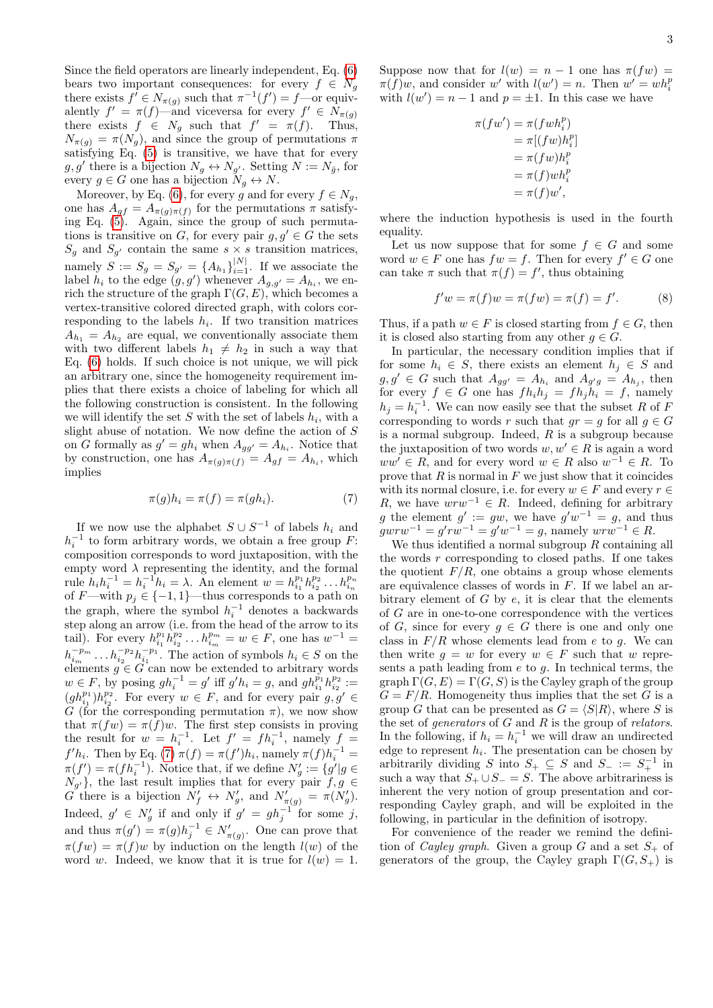Since the field operators are linearly independent, Eq. [\(6\)](#page-1-1) bears two important consequences: for every  $f \in N_q$ there exists  $f' \in N_{\pi(g)}$  such that  $\pi^{-1}(f') = f$ —or equivalently  $f' = \pi(f)$ —and viceversa for every  $f' \in N_{\pi(g)}$ there exists  $f \in N_g$  such that  $f' = \pi(f)$ . Thus,  $N_{\pi(g)} = \pi(N_g)$ , and since the group of permutations  $\pi$ satisfying Eq.  $(5)$  is transitive, we have that for every  $g, g'$  there is a bijection  $N_g \leftrightarrow N_{g'}$ . Setting  $N := N_{\bar{g}}$ , for every  $g \in G$  one has a bijection  $N_q \leftrightarrow N$ .

Moreover, by Eq. [\(6\)](#page-1-1), for every g and for every  $f \in N_g$ , one has  $A_{gf} = A_{\pi(g)\pi(f)}$  for the permutations  $\pi$  satisfying Eq. [\(5\)](#page-1-0). Again, since the group of such permutations is transitive on G, for every pair  $g, g' \in G$  the sets  $S_g$  and  $S_{g'}$  contain the same  $s \times s$  transition matrices, namely  $S := S_g = S_{g'} = \{A_{h_1}\}_{i=1}^{|N|}$ . If we associate the label  $h_i$  to the edge  $(g, g')$  whenever  $A_{g,g'} = A_{h_i}$ , we enrich the structure of the graph  $\Gamma(G, E)$ , which becomes a vertex-transitive colored directed graph, with colors corresponding to the labels  $h_i$ . If two transition matrices  $A_{h_1} = A_{h_2}$  are equal, we conventionally associate them with two different labels  $h_1 \neq h_2$  in such a way that Eq. [\(6\)](#page-1-1) holds. If such choice is not unique, we will pick an arbitrary one, since the homogeneity requirement implies that there exists a choice of labeling for which all the following construction is consistent. In the following we will identify the set S with the set of labels  $h_i$ , with a slight abuse of notation. We now define the action of  $S$ on G formally as  $g' = gh_i$  when  $A_{gg'} = A_{h_i}$ . Notice that by construction, one has  $A_{\pi(g)\pi(f)} = A_{gf} = A_{h_i}$ , which implies

$$
\pi(g)h_i = \pi(f) = \pi(gh_i). \tag{7}
$$

If we now use the alphabet  $S \cup S^{-1}$  of labels  $h_i$  and  $h_i^{-1}$  to form arbitrary words, we obtain a free group F: composition corresponds to word juxtaposition, with the empty word  $\lambda$  representing the identity, and the formal rule  $h_i h_i^{-1} = h_i^{-1} h_i = \lambda$ . An element  $w = h_{i_1}^{p_1} h_{i_2}^{p_2} \dots h_{i_n}^{p_n}$ <br>of  $F$ —with  $p_j \in \{-1, 1\}$ —thus corresponds to a path on the graph, where the symbol  $h_i^{-1}$  denotes a backwards step along an arrow (i.e. from the head of the arrow to its tail). For every  $h_{i_1}^{p_1} h_{i_2}^{p_2} \dots h_{i_m}^{p_m} = w \in F$ , one has  $w^{-1} =$  $h_{i_m}^{-p_m} \dots h_{i_2}^{-p_2} h_{i_1}^{-p_1}$ . The action of symbols  $h_i \in S$  on the  $\begin{array}{ll}\n n_{i_m} & \dots n_{i_2} & n_{i_1} \\
\text{elements } g \in G \text{ can now be extended to arbitrary words}\n \end{array}$  $w \in F$ , by posing  $gh_i^{-1} = g'$  iff  $g'h_i = g$ , and  $gh_{i_1}^{p_1}h_{i_2}^{p_2} :=$ <br> $(g_1h_{i_1})_h^{p_2}$ . For given  $w \in F$ , and for given pair  $g_1 g' \in F$  $(gh_{i_1}^{p_1})h_{i_2}^{p_2}$ . For every  $w \in F$ , and for every pair  $g, g' \in$ G (for the corresponding permutation  $\pi$ ), we now show that  $\pi(fw) = \pi(f)w$ . The first step consists in proving the result for  $w = h_i^{-1}$ . Let  $f' = fh_i^{-1}$ , namely  $f =$  $f'h_i$ . Then by Eq. [\(7\)](#page-2-0)  $\pi(f) = \pi(f')h_i$ , namely  $\pi(f)h_i^{-1} =$  $\pi(f') = \pi(fh_i^{-1})$ . Notice that, if we define  $N'_g := \{g' | g \in$  $N_{g'}\}$ , the last result implies that for every pair  $f, g \in$ G there is a bijection  $N'_f \leftrightarrow N'_g$ , and  $N'_{\pi(g)} = \pi(N'_g)$ . Indeed,  $g' \in N'_g$  if and only if  $g' = gh_j^{-1}$  for some j, and thus  $\pi(g') = \pi(g)h_j^{-1} \in N'_{\pi(g)}$ . One can prove that  $\pi(fw) = \pi(f)w$  by induction on the length  $l(w)$  of the word w. Indeed, we know that it is true for  $l(w) = 1$ .

Suppose now that for  $l(w) = n - 1$  one has  $\pi(fw) =$  $\pi(f)w$ , and consider w' with  $l(w') = n$ . Then  $w' = wh_i^p$ with  $l(w') = n - 1$  and  $p = \pm 1$ . In this case we have

 $\pi$ 

f

$$
(fw') = \pi(fwh_i^p)
$$
  
=  $\pi[(fw)h_i^p]$   
=  $\pi(fwh_i^p)$   
=  $\pi(f)wh_i^p$   
=  $\pi(f)w'$ ,

where the induction hypothesis is used in the fourth equality.

Let us now suppose that for some  $f \in G$  and some word  $w \in F$  one has  $fw = f$ . Then for every  $f' \in G$  one can take  $\pi$  such that  $\pi(f) = f'$ , thus obtaining

<span id="page-2-1"></span>
$$
f'w = \pi(f)w = \pi(fw) = \pi(f) = f'. \tag{8}
$$

Thus, if a path  $w \in F$  is closed starting from  $f \in G$ , then it is closed also starting from any other  $q \in G$ .

In particular, the necessary condition implies that if for some  $h_i \in S$ , there exists an element  $h_j \in S$  and  $g, g' \in G$  such that  $A_{gg'} = A_{h_i}$  and  $A_{g'g} = A_{h_j}$ , then for every  $f \in G$  one has  $fh_i h_j = fh_j h_i = f$ , namely  $h_j = h_i^{-1}$ . We can now easily see that the subset R of F corresponding to words r such that  $gr = g$  for all  $g \in G$ is a normal subgroup. Indeed,  $R$  is a subgroup because the juxtaposition of two words  $w, w' \in R$  is again a word  $ww' \in R$ , and for every word  $w \in R$  also  $w^{-1} \in R$ . To prove that  $R$  is normal in  $F$  we just show that it coincides with its normal closure, i.e. for every  $w \in F$  and every  $r \in$ R, we have  $wrw^{-1} \in R$ . Indeed, defining for arbitrary g the element  $g' := gw$ , we have  $g'w^{-1} = g$ , and thus  $gwrw^{-1} = g'rw^{-1} = g'w^{-1} = g$ , namely  $wrw^{-1} \in R$ .

<span id="page-2-0"></span>We thus identified a normal subgroup  $R$  containing all the words  $r$  corresponding to closed paths. If one takes the quotient  $F/R$ , one obtains a group whose elements are equivalence classes of words in F. If we label an arbitrary element of  $G$  by  $e$ , it is clear that the elements of G are in one-to-one correspondence with the vertices of G, since for every  $g \in G$  there is one and only one class in  $F/R$  whose elements lead from e to g. We can then write  $q = w$  for every  $w \in F$  such that w represents a path leading from  $e$  to  $q$ . In technical terms, the graph  $\Gamma(G, E) = \Gamma(G, S)$  is the Cayley graph of the group  $G = F/R$ . Homogeneity thus implies that the set G is a group G that can be presented as  $G = \langle S|R \rangle$ , where S is the set of generators of  $G$  and  $R$  is the group of relators. In the following, if  $h_i = h_i^{-1}$  we will draw an undirected edge to represent  $h_i$ . The presentation can be chosen by arbitrarily dividing S into  $S_+ \subseteq S$  and  $S_- := S_+^{-1}$  in such a way that  $S_+ \cup S_- = S$ . The above arbitrariness is inherent the very notion of group presentation and corresponding Cayley graph, and will be exploited in the following, in particular in the definition of isotropy.

For convenience of the reader we remind the definition of *Cayley graph*. Given a group G and a set  $S_{+}$  of generators of the group, the Cayley graph  $\Gamma(G, S_+)$  is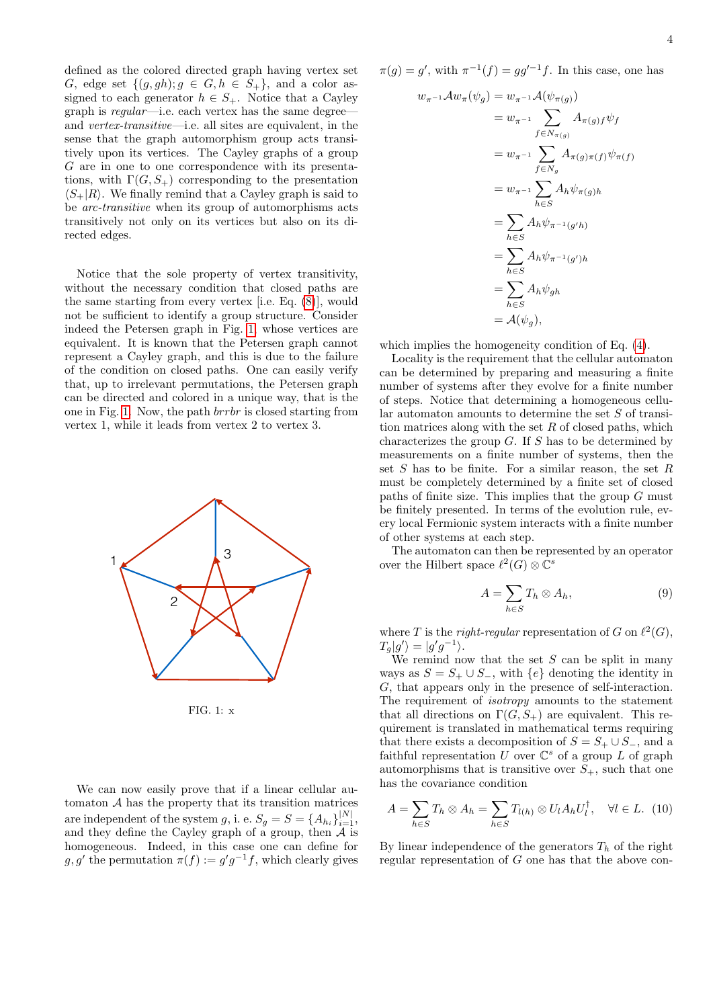defined as the colored directed graph having vertex set G, edge set  $\{(g, gh); g \in G, h \in S_+\}$ , and a color assigned to each generator  $h \in S_+$ . Notice that a Cayley graph is regular—i.e. each vertex has the same degree and vertex-transitive—i.e. all sites are equivalent, in the sense that the graph automorphism group acts transitively upon its vertices. The Cayley graphs of a group G are in one to one correspondence with its presentations, with  $\Gamma(G, S_+)$  corresponding to the presentation  $\langle S_{+}|R\rangle$ . We finally remind that a Cayley graph is said to be arc-transitive when its group of automorphisms acts transitively not only on its vertices but also on its directed edges.

Notice that the sole property of vertex transitivity, without the necessary condition that closed paths are the same starting from every vertex [i.e. Eq. [\(8\)](#page-2-1)], would not be sufficient to identify a group structure. Consider indeed the Petersen graph in Fig. [1,](#page-3-0) whose vertices are equivalent. It is known that the Petersen graph cannot represent a Cayley graph, and this is due to the failure of the condition on closed paths. One can easily verify that, up to irrelevant permutations, the Petersen graph can be directed and colored in a unique way, that is the one in Fig. [1.](#page-3-0) Now, the path brrbr is closed starting from vertex 1, while it leads from vertex 2 to vertex 3.



<span id="page-3-0"></span>FIG. 1: x

We can now easily prove that if a linear cellular automaton  $A$  has the property that its transition matrices are independent of the system g, i. e.  $S_g = S = \{A_{h_i}\}_{i=1}^{|N|}$ , and they define the Cayley graph of a group, then  $\overline{A}$  is homogeneous. Indeed, in this case one can define for  $g, g'$  the permutation  $\pi(f) := g'g^{-1}f$ , which clearly gives

$$
\pi(g)=g',
$$
 with  $\pi^{-1}(f)=gg'^{-1}f.$  In this case, one has

$$
w_{\pi^{-1}} A w_{\pi} (\psi_g) = w_{\pi^{-1}} A(\psi_{\pi(g)})
$$
  
\n
$$
= w_{\pi^{-1}} \sum_{f \in N_{\pi(g)}} A_{\pi(g)f} \psi_f
$$
  
\n
$$
= w_{\pi^{-1}} \sum_{f \in N_g} A_{\pi(g)\pi(f)} \psi_{\pi(f)}
$$
  
\n
$$
= w_{\pi^{-1}} \sum_{h \in S} A_h \psi_{\pi(g)h}
$$
  
\n
$$
= \sum_{h \in S} A_h \psi_{\pi^{-1}(g'h)}
$$
  
\n
$$
= \sum_{h \in S} A_h \psi_{\pi^{-1}(g')h}
$$
  
\n
$$
= \sum_{h \in S} A_h \psi_{gh}
$$
  
\n
$$
= A(\psi_g),
$$

which implies the homogeneity condition of Eq. [\(4\)](#page-1-2).

Locality is the requirement that the cellular automaton can be determined by preparing and measuring a finite number of systems after they evolve for a finite number of steps. Notice that determining a homogeneous cellular automaton amounts to determine the set S of transition matrices along with the set  $R$  of closed paths, which characterizes the group  $G$ . If  $S$  has to be determined by measurements on a finite number of systems, then the set  $S$  has to be finite. For a similar reason, the set  $R$ must be completely determined by a finite set of closed paths of finite size. This implies that the group  $G$  must be finitely presented. In terms of the evolution rule, every local Fermionic system interacts with a finite number of other systems at each step.

The automaton can then be represented by an operator over the Hilbert space  $\ell^2(G) \otimes \mathbb{C}^s$ 

$$
A = \sum_{h \in S} T_h \otimes A_h,\tag{9}
$$

where T is the right-regular representation of G on  $\ell^2(G)$ ,  $T_g|g'\rangle=|g'g^{-1}\rangle.$ 

We remind now that the set  $S$  can be split in many ways as  $S = S_+ \cup S_-,$  with  $\{e\}$  denoting the identity in G, that appears only in the presence of self-interaction. The requirement of isotropy amounts to the statement that all directions on  $\Gamma(G, S_+)$  are equivalent. This requirement is translated in mathematical terms requiring that there exists a decomposition of  $S = S_+ \cup S_-$ , and a faithful representation U over  $\mathbb{C}^s$  of a group L of graph automorphisms that is transitive over  $S_{+}$ , such that one has the covariance condition

<span id="page-3-1"></span>
$$
A = \sum_{h \in S} T_h \otimes A_h = \sum_{h \in S} T_{l(h)} \otimes U_l A_h U_l^{\dagger}, \quad \forall l \in L. \tag{10}
$$

By linear independence of the generators  $T_h$  of the right regular representation of G one has that the above con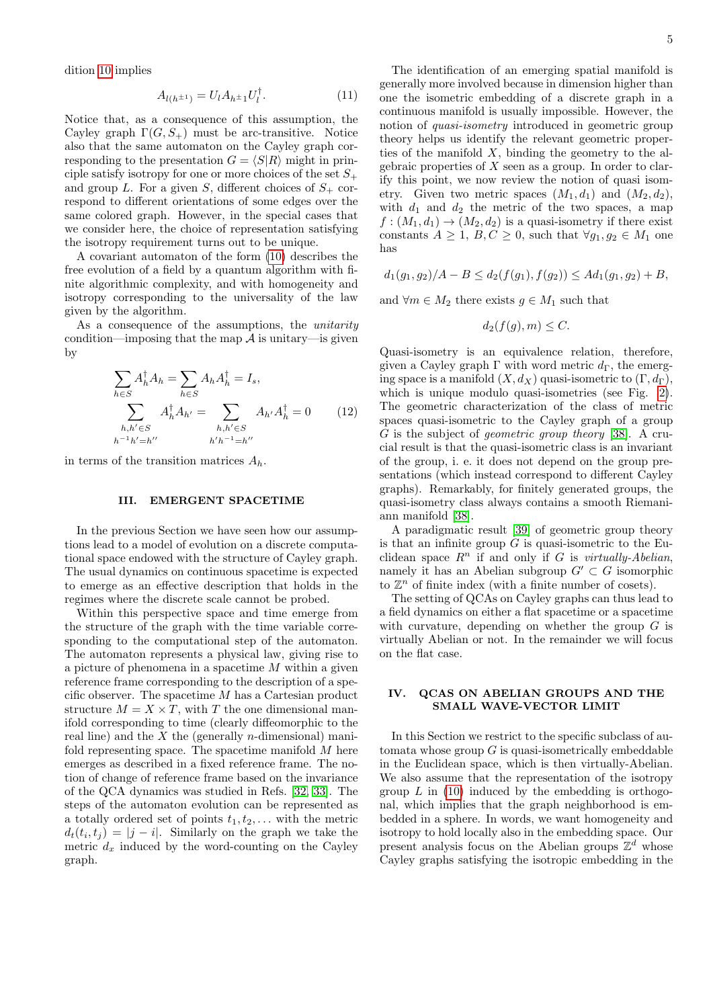dition [10](#page-3-1) implies

$$
A_{l(h^{\pm 1})} = U_l A_{h^{\pm 1}} U_l^{\dagger}.
$$
 (11)

Notice that, as a consequence of this assumption, the Cayley graph  $\Gamma(G, S_+)$  must be arc-transitive. Notice also that the same automaton on the Cayley graph corresponding to the presentation  $G = \langle S | R \rangle$  might in principle satisfy isotropy for one or more choices of the set  $S_+$ and group L. For a given S, different choices of  $S_+$  correspond to different orientations of some edges over the same colored graph. However, in the special cases that we consider here, the choice of representation satisfying the isotropy requirement turns out to be unique.

A covariant automaton of the form [\(10\)](#page-3-1) describes the free evolution of a field by a quantum algorithm with finite algorithmic complexity, and with homogeneity and isotropy corresponding to the universality of the law given by the algorithm.

As a consequence of the assumptions, the unitarity condition—imposing that the map  $\mathcal A$  is unitary—is given by

$$
\sum_{h \in S} A_h^{\dagger} A_h = \sum_{h \in S} A_h A_h^{\dagger} = I_s,
$$
\n
$$
\sum_{h,h' \in S} A_h^{\dagger} A_{h'} = \sum_{h,h' \in S} A_{h'} A_h^{\dagger} = 0 \qquad (12)
$$
\n
$$
h^{-1} h' = h'' \qquad h'h^{-1} = h''
$$

in terms of the transition matrices  $A_h$ .

### III. EMERGENT SPACETIME

In the previous Section we have seen how our assumptions lead to a model of evolution on a discrete computational space endowed with the structure of Cayley graph. The usual dynamics on continuous spacetime is expected to emerge as an effective description that holds in the regimes where the discrete scale cannot be probed.

Within this perspective space and time emerge from the structure of the graph with the time variable corresponding to the computational step of the automaton. The automaton represents a physical law, giving rise to a picture of phenomena in a spacetime M within a given reference frame corresponding to the description of a specific observer. The spacetime M has a Cartesian product structure  $M = X \times T$ , with T the one dimensional manifold corresponding to time (clearly diffeomorphic to the real line) and the  $X$  the (generally *n*-dimensional) manifold representing space. The spacetime manifold M here emerges as described in a fixed reference frame. The notion of change of reference frame based on the invariance of the QCA dynamics was studied in Refs. [\[32,](#page-9-18) [33\]](#page-9-19). The steps of the automaton evolution can be represented as a totally ordered set of points  $t_1, t_2, \ldots$  with the metric  $d_t(t_i, t_j) = |j - i|$ . Similarly on the graph we take the metric  $d_x$  induced by the word-counting on the Cayley graph.

The identification of an emerging spatial manifold is generally more involved because in dimension higher than one the isometric embedding of a discrete graph in a continuous manifold is usually impossible. However, the notion of quasi-isometry introduced in geometric group theory helps us identify the relevant geometric properties of the manifold  $X$ , binding the geometry to the algebraic properties of  $X$  seen as a group. In order to clarify this point, we now review the notion of quasi isometry. Given two metric spaces  $(M_1, d_1)$  and  $(M_2, d_2)$ , with  $d_1$  and  $d_2$  the metric of the two spaces, a map  $f:(M_1,d_1)\to (M_2,d_2)$  is a quasi-isometry if there exist constants  $A \geq 1$ ,  $B, C \geq 0$ , such that  $\forall g_1, g_2 \in M_1$  one has

$$
d_1(g_1, g_2)/A - B \leq d_2(f(g_1), f(g_2)) \leq Ad_1(g_1, g_2) + B,
$$

and  $\forall m \in M_2$  there exists  $g \in M_1$  such that

$$
d_2(f(g), m) \leq C.
$$

Quasi-isometry is an equivalence relation, therefore, given a Cayley graph Γ with word metric  $d_{\Gamma}$ , the emerging space is a manifold  $(X, d_X)$  quasi-isometric to  $(\Gamma, d_\Gamma)$ , which is unique modulo quasi-isometries (see Fig. [2\)](#page-5-0). The geometric characterization of the class of metric spaces quasi-isometric to the Cayley graph of a group G is the subject of geometric group theory [\[38\]](#page-9-23). A crucial result is that the quasi-isometric class is an invariant of the group, i. e. it does not depend on the group presentations (which instead correspond to different Cayley graphs). Remarkably, for finitely generated groups, the quasi-isometry class always contains a smooth Riemaniann manifold [\[38\]](#page-9-23).

A paradigmatic result [\[39\]](#page-9-24) of geometric group theory is that an infinite group  $G$  is quasi-isometric to the Euclidean space  $R^n$  if and only if G is virtually-Abelian, namely it has an Abelian subgroup  $G' \subset G$  isomorphic to  $\mathbb{Z}^n$  of finite index (with a finite number of cosets).

The setting of QCAs on Cayley graphs can thus lead to a field dynamics on either a flat spacetime or a spacetime with curvature, depending on whether the group  $G$  is virtually Abelian or not. In the remainder we will focus on the flat case.

# IV. QCAS ON ABELIAN GROUPS AND THE SMALL WAVE-VECTOR LIMIT

In this Section we restrict to the specific subclass of automata whose group  $G$  is quasi-isometrically embeddable in the Euclidean space, which is then virtually-Abelian. We also assume that the representation of the isotropy group  $L$  in [\(10\)](#page-3-1) induced by the embedding is orthogonal, which implies that the graph neighborhood is embedded in a sphere. In words, we want homogeneity and isotropy to hold locally also in the embedding space. Our present analysis focus on the Abelian groups  $\mathbb{Z}^d$  whose Cayley graphs satisfying the isotropic embedding in the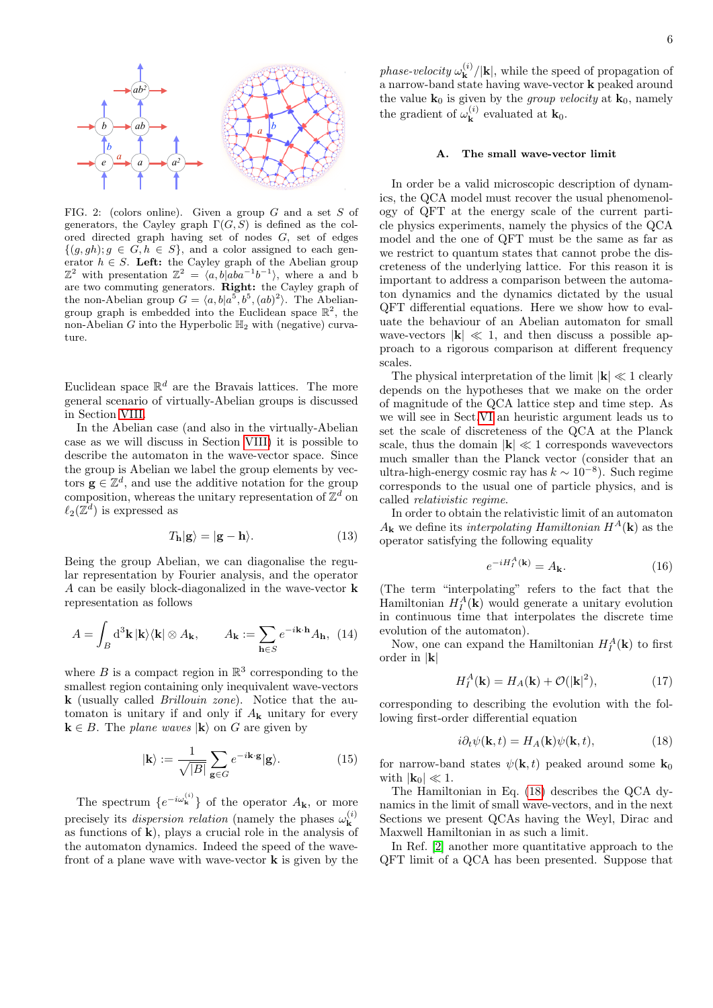

<span id="page-5-0"></span>FIG. 2: (colors online). Given a group G and a set S of generators, the Cayley graph  $\Gamma(G, S)$  is defined as the colored directed graph having set of nodes G, set of edges  $\{(g, gh); g \in G, h \in S\}$ , and a color assigned to each generator  $h \in S$ . Left: the Cayley graph of the Abelian group  $\mathbb{Z}^2$  with presentation  $\mathbb{Z}^2 = \langle a, b | a b a^{-1} b^{-1} \rangle$ , where a and b are two commuting generators. Right: the Cayley graph of the non-Abelian group  $G = \langle a, b | a^5, b^5, (ab)^2 \rangle$ . The Abeliangroup graph is embedded into the Euclidean space  $\mathbb{R}^2$ , the non-Abelian G into the Hyperbolic  $\mathbb{H}_2$  with (negative) curvature.

Euclidean space  $\mathbb{R}^d$  are the Bravais lattices. The more general scenario of virtually-Abelian groups is discussed in Section [VIII.](#page-8-0)

In the Abelian case (and also in the virtually-Abelian case as we will discuss in Section [VIII\)](#page-8-0) it is possible to describe the automaton in the wave-vector space. Since the group is Abelian we label the group elements by vectors  $\mathbf{g} \in \mathbb{Z}^d$ , and use the additive notation for the group composition, whereas the unitary representation of  $\mathbb{Z}^d$  on  $\ell_2(\mathbb{Z}^d)$  is expressed as

$$
T_{\mathbf{h}}|\mathbf{g}\rangle = |\mathbf{g} - \mathbf{h}\rangle. \tag{13}
$$

Being the group Abelian, we can diagonalise the regular representation by Fourier analysis, and the operator A can be easily block-diagonalized in the wave-vector k representation as follows

$$
A = \int_B \mathrm{d}^3 \mathbf{k} \, |\mathbf{k}\rangle \langle \mathbf{k}| \otimes A_{\mathbf{k}}, \qquad A_{\mathbf{k}} := \sum_{\mathbf{h} \in S} e^{-i\mathbf{k} \cdot \mathbf{h}} A_{\mathbf{h}}, \tag{14}
$$

where  $B$  is a compact region in  $\mathbb{R}^3$  corresponding to the smallest region containing only inequivalent wave-vectors k (usually called Brillouin zone). Notice that the automaton is unitary if and only if  $A_k$  unitary for every  $\mathbf{k} \in B$ . The *plane waves*  $|\mathbf{k}\rangle$  on G are given by

$$
|\mathbf{k}\rangle := \frac{1}{\sqrt{|B|}} \sum_{\mathbf{g} \in G} e^{-i\mathbf{k} \cdot \mathbf{g}} |\mathbf{g}\rangle.
$$
 (15)

The spectrum  $\{e^{-i\omega_{\mathbf{k}}^{(i)}}\}$  of the operator  $A_{\mathbf{k}}$ , or more precisely its *dispersion relation* (namely the phases  $\omega_{\mathbf{k}}^{(i)}$ k as functions of  $\bf{k}$ ), plays a crucial role in the analysis of the automaton dynamics. Indeed the speed of the wavefront of a plane wave with wave-vector  $\bf{k}$  is given by the

phase-velocity  $\omega_{\mathbf{k}}^{(i)}$  $\mathbf{k}^{(i)}/|\mathbf{k}|$ , while the speed of propagation of a narrow-band state having wave-vector k peaked around the value  $\mathbf{k}_0$  is given by the *group velocity* at  $\mathbf{k}_0$ , namely the gradient of  $\omega_{\mathbf{k}}^{(i)}$  $\mathbf{k}^{(i)}$  evaluated at  $\mathbf{k}_0$ .

#### <span id="page-5-3"></span>A. The small wave-vector limit

In order be a valid microscopic description of dynamics, the QCA model must recover the usual phenomenology of QFT at the energy scale of the current particle physics experiments, namely the physics of the QCA model and the one of QFT must be the same as far as we restrict to quantum states that cannot probe the discreteness of the underlying lattice. For this reason it is important to address a comparison between the automaton dynamics and the dynamics dictated by the usual QFT differential equations. Here we show how to evaluate the behaviour of an Abelian automaton for small wave-vectors  $|\mathbf{k}| \ll 1$ , and then discuss a possible approach to a rigorous comparison at different frequency scales.

The physical interpretation of the limit  $|\mathbf{k}| \ll 1$  clearly depends on the hypotheses that we make on the order of magnitude of the QCA lattice step and time step. As we will see in Sect[.VI](#page-7-1) an heuristic argument leads us to set the scale of discreteness of the QCA at the Planck scale, thus the domain  $|\mathbf{k}| \ll 1$  corresponds wavevectors much smaller than the Planck vector (consider that an ultra-high-energy cosmic ray has  $k \sim 10^{-8}$ ). Such regime corresponds to the usual one of particle physics, and is called relativistic regime.

In order to obtain the relativistic limit of an automaton  $A_{\mathbf{k}}$  we define its interpolating Hamiltonian  $H^{A}(\mathbf{k})$  as the operator satisfying the following equality

$$
e^{-iH_I^A(\mathbf{k})} = A_{\mathbf{k}}.\tag{16}
$$

(The term "interpolating" refers to the fact that the Hamiltonian  $H_I^A(\mathbf{k})$  would generate a unitary evolution in continuous time that interpolates the discrete time evolution of the automaton).

Now, one can expand the Hamiltonian  $H_I^A(\mathbf{k})$  to first order in |k|

<span id="page-5-2"></span>
$$
H_I^A(\mathbf{k}) = H_A(\mathbf{k}) + \mathcal{O}(|\mathbf{k}|^2),\tag{17}
$$

corresponding to describing the evolution with the following first-order differential equation

<span id="page-5-1"></span>
$$
i\partial_t \psi(\mathbf{k}, t) = H_A(\mathbf{k})\psi(\mathbf{k}, t), \qquad (18)
$$

for narrow-band states  $\psi(\mathbf{k}, t)$  peaked around some  $\mathbf{k}_0$ with  $|\mathbf{k}_0| \ll 1$ .

The Hamiltonian in Eq. [\(18\)](#page-5-1) describes the QCA dynamics in the limit of small wave-vectors, and in the next Sections we present QCAs having the Weyl, Dirac and Maxwell Hamiltonian in as such a limit.

In Ref. [\[2\]](#page-9-14) another more quantitative approach to the QFT limit of a QCA has been presented. Suppose that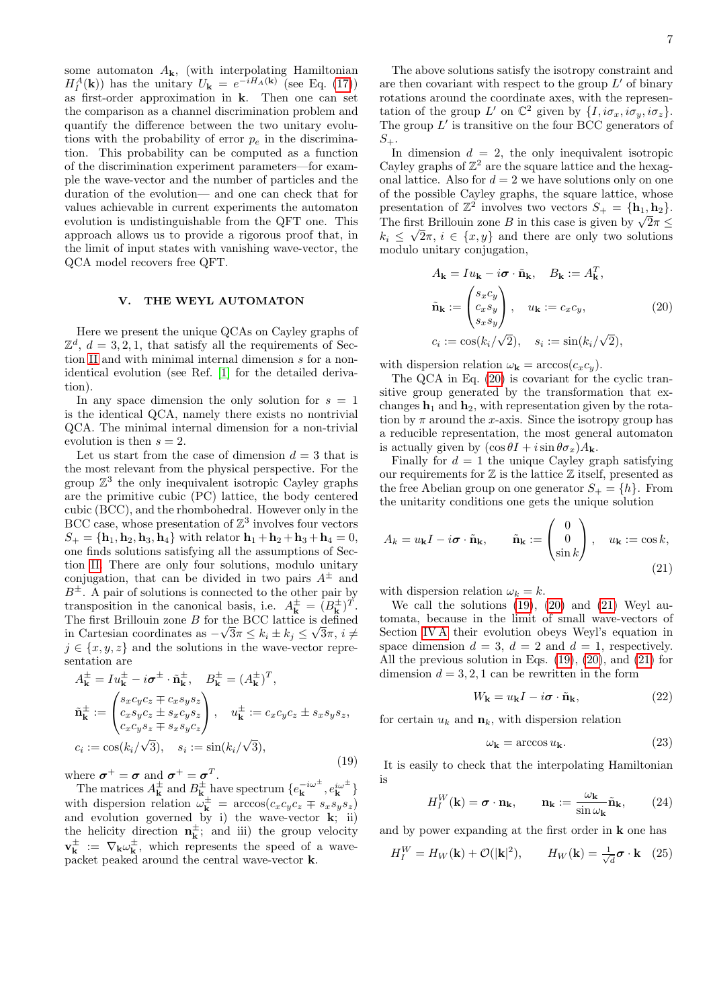some automaton  $A_{\mathbf{k}}$ , (with interpolating Hamiltonian  $H_I^A(\mathbf{k})$  has the unitary  $U_{\mathbf{k}} = e^{-iH_A(\mathbf{k})}$  (see Eq. [\(17\)](#page-5-2)) as first-order approximation in k. Then one can set the comparison as a channel discrimination problem and quantify the difference between the two unitary evolutions with the probability of error  $p_e$  in the discrimination. This probability can be computed as a function of the discrimination experiment parameters—for example the wave-vector and the number of particles and the duration of the evolution— and one can check that for values achievable in current experiments the automaton evolution is undistinguishable from the QFT one. This approach allows us to provide a rigorous proof that, in the limit of input states with vanishing wave-vector, the QCA model recovers free QFT.

#### <span id="page-6-3"></span>V. THE WEYL AUTOMATON

Here we present the unique QCAs on Cayley graphs of  $\mathbb{Z}^d$ ,  $d = 3, 2, 1$ , that satisfy all the requirements of Section [II](#page-1-3) and with minimal internal dimension s for a nonidentical evolution (see Ref. [\[1\]](#page-9-0) for the detailed derivation).

In any space dimension the only solution for  $s = 1$ is the identical QCA, namely there exists no nontrivial QCA. The minimal internal dimension for a non-trivial evolution is then  $s = 2$ .

Let us start from the case of dimension  $d = 3$  that is the most relevant from the physical perspective. For the group  $\mathbb{Z}^3$  the only inequivalent isotropic Cayley graphs are the primitive cubic (PC) lattice, the body centered cubic (BCC), and the rhombohedral. However only in the BCC case, whose presentation of  $\mathbb{Z}^3$  involves four vectors  $S_+ = {\bf h}_1, {\bf h}_2, {\bf h}_3, {\bf h}_4$  with relator  ${\bf h}_1 + {\bf h}_2 + {\bf h}_3 + {\bf h}_4 = 0$ , one finds solutions satisfying all the assumptions of Section [II.](#page-1-3) There are only four solutions, modulo unitary conjugation, that can be divided in two pairs  $A^{\pm}$  and  $B^{\pm}$ . A pair of solutions is connected to the other pair by transposition in the canonical basis, i.e.  $A_{\mathbf{k}}^{\pm} = (B_{\mathbf{k}}^{\pm})^{\tilde{T}}$ . The first Brillouin zone B for the BCC lattice is defined in Cartesian coordinates as  $-\sqrt{3\pi} \le k_i \pm k_j \le \sqrt{3\pi}, i \ne$  $j \in \{x, y, z\}$  and the solutions in the wave-vector representation are

<span id="page-6-1"></span>
$$
A_{\mathbf{k}}^{\pm} = I u_{\mathbf{k}}^{\pm} - i \sigma^{\pm} \cdot \tilde{\mathbf{n}}_{\mathbf{k}}^{\pm}, \quad B_{\mathbf{k}}^{\pm} = (A_{\mathbf{k}}^{\pm})^T,
$$
  
\n
$$
\tilde{\mathbf{n}}_{\mathbf{k}}^{\pm} := \begin{pmatrix} s_x c_y c_z \mp c_x s_y s_z \\ c_x s_y c_z \pm s_x c_y s_z \\ c_x c_y s_z \mp s_x s_y c_z \end{pmatrix}, \quad u_{\mathbf{k}}^{\pm} := c_x c_y c_z \pm s_x s_y s_z,
$$
  
\n
$$
c_i := \cos(k_i/\sqrt{3}), \quad s_i := \sin(k_i/\sqrt{3}),
$$
\n(19)

where  $\boldsymbol{\sigma}^+ = \boldsymbol{\sigma}$  and  $\boldsymbol{\sigma}^+ = \boldsymbol{\sigma}^T$ .

The matrices  $A_{\mathbf{k}}^{\pm}$  and  $B_{\mathbf{k}}^{\pm}$  have spectrum  $\{e_{\mathbf{k}}^{-i\omega^{\pm}}, e_{\mathbf{k}}^{i\omega^{\pm}}\}$ with dispersion relation  $\omega_{\mathbf{k}}^{\pm} = \arccos(c_x c_y c_z \mp s_x s_y s_z)$ and evolution governed by i) the wave-vector  $\mathbf{k}$ ; ii) the helicity direction  $n_k^{\pm}$ ; and iii) the group velocity  $\mathbf{v}_{\mathbf{k}}^{\pm} := \nabla_{\mathbf{k}} \omega_{\mathbf{k}}^{\pm}$ , which represents the speed of a wavepacket peaked around the central wave-vector k.

The above solutions satisfy the isotropy constraint and are then covariant with respect to the group  $L'$  of binary rotations around the coordinate axes, with the representation of the group L' on  $\mathbb{C}^2$  given by  $\{I, i\sigma_x, i\sigma_y, i\sigma_z\}.$ The group  $L'$  is transitive on the four BCC generators of  $S_{+}.$ 

In dimension  $d = 2$ , the only inequivalent isotropic Cayley graphs of  $\mathbb{Z}^2$  are the square lattice and the hexagonal lattice. Also for  $d = 2$  we have solutions only on one of the possible Cayley graphs, the square lattice, whose presentation of  $\mathbb{Z}^2$  involves two vectors  $S_+ = {\mathbf{h}_1, \mathbf{h}_2}.$ presentation of  $\mathbb{Z}$ <sup>-</sup> involves two vectors  $S_+ = \{\mathbf{n}_1, \mathbf{n}_2\}$ .<br>The first Brillouin zone B in this case is given by  $\sqrt{2\pi} \leq$  $k_i \leq \sqrt{2\pi}, i \in \{x, y\}$  and there are only two solutions modulo unitary conjugation,

<span id="page-6-0"></span>
$$
A_{\mathbf{k}} = I u_{\mathbf{k}} - i \boldsymbol{\sigma} \cdot \tilde{\mathbf{n}}_{\mathbf{k}}, \quad B_{\mathbf{k}} := A_{\mathbf{k}}^T,
$$
  

$$
\tilde{\mathbf{n}}_{\mathbf{k}} := \begin{pmatrix} s_x c_y \\ c_x s_y \\ s_x s_y \end{pmatrix}, \quad u_{\mathbf{k}} := c_x c_y,
$$
 (20)  

$$
c_i := \cos(k_i/\sqrt{2}), \quad s_i := \sin(k_i/\sqrt{2}),
$$

with dispersion relation  $\omega_{\mathbf{k}} = \arccos(c_x c_y)$ .

The QCA in Eq. [\(20\)](#page-6-0) is covariant for the cyclic transitive group generated by the transformation that exchanges  $\mathbf{h}_1$  and  $\mathbf{h}_2$ , with representation given by the rotation by  $\pi$  around the x-axis. Since the isotropy group has a reducible representation, the most general automaton is actually given by  $(\cos \theta I + i \sin \theta \sigma_x) A_k$ .

Finally for  $d = 1$  the unique Cayley graph satisfying our requirements for  $\mathbb Z$  is the lattice  $\mathbb Z$  itself, presented as the free Abelian group on one generator  $S_+ = \{h\}$ . From the unitarity conditions one gets the unique solution

$$
A_k = u_{\mathbf{k}} I - i \boldsymbol{\sigma} \cdot \tilde{\mathbf{n}}_{\mathbf{k}}, \qquad \tilde{\mathbf{n}}_{\mathbf{k}} := \begin{pmatrix} 0 \\ 0 \\ \sin k \end{pmatrix}, \quad u_{\mathbf{k}} := \cos k,
$$
\n(21)

with dispersion relation  $\omega_k = k$ .

We call the solutions [\(19\)](#page-6-1), [\(20\)](#page-6-0) and [\(21\)](#page-6-2) Weyl automata, because in the limit of small wave-vectors of Section [IV A](#page-5-3) their evolution obeys Weyl's equation in space dimension  $d = 3$ ,  $d = 2$  and  $d = 1$ , respectively. All the previous solution in Eqs. [\(19\)](#page-6-1), [\(20\)](#page-6-0), and [\(21\)](#page-6-2) for dimension  $d = 3, 2, 1$  can be rewritten in the form

<span id="page-6-2"></span>
$$
W_{\mathbf{k}} = u_{\mathbf{k}}I - i\boldsymbol{\sigma} \cdot \tilde{\mathbf{n}}_{\mathbf{k}},\tag{22}
$$

for certain  $u_k$  and  $\mathbf{n}_k$ , with dispersion relation

<span id="page-6-4"></span>
$$
\omega_{\mathbf{k}} = \arccos u_{\mathbf{k}}.\tag{23}
$$

It is easily to check that the interpolating Hamiltonian is

$$
H_I^W(\mathbf{k}) = \boldsymbol{\sigma} \cdot \mathbf{n}_{\mathbf{k}}, \qquad \mathbf{n}_{\mathbf{k}} := \frac{\omega_{\mathbf{k}}}{\sin \omega_{\mathbf{k}}} \tilde{\mathbf{n}}_{\mathbf{k}}, \qquad (24)
$$

and by power expanding at the first order in k one has

$$
H_I^W = H_W(\mathbf{k}) + \mathcal{O}(|\mathbf{k}|^2), \qquad H_W(\mathbf{k}) = \frac{1}{\sqrt{d}} \boldsymbol{\sigma} \cdot \mathbf{k} \quad (25)
$$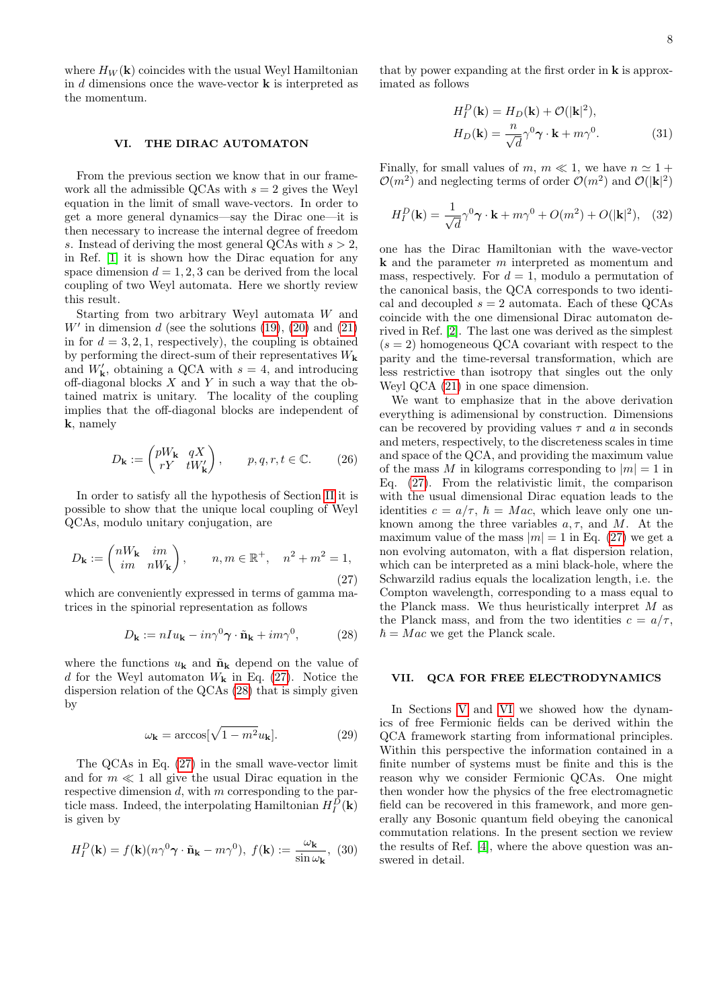where  $H_W(\mathbf{k})$  coincides with the usual Weyl Hamiltonian in  $d$  dimensions once the wave-vector  $\bf{k}$  is interpreted as the momentum.

## <span id="page-7-1"></span>VI. THE DIRAC AUTOMATON

From the previous section we know that in our framework all the admissible QCAs with  $s = 2$  gives the Weyl equation in the limit of small wave-vectors. In order to get a more general dynamics—say the Dirac one—it is then necessary to increase the internal degree of freedom s. Instead of deriving the most general QCAs with  $s > 2$ , in Ref. [\[1\]](#page-9-0) it is shown how the Dirac equation for any space dimension  $d = 1, 2, 3$  can be derived from the local coupling of two Weyl automata. Here we shortly review this result.

Starting from two arbitrary Weyl automata W and  $W'$  in dimension d (see the solutions  $(19)$ ,  $(20)$  and  $(21)$ in for  $d = 3, 2, 1$ , respectively), the coupling is obtained by performing the direct-sum of their representatives  $W_{\mathbf{k}}$ and  $W'_{\mathbf{k}}$ , obtaining a QCA with  $s = 4$ , and introducing off-diagonal blocks  $X$  and  $Y$  in such a way that the obtained matrix is unitary. The locality of the coupling implies that the off-diagonal blocks are independent of k, namely

$$
D_{\mathbf{k}} := \begin{pmatrix} pW_{\mathbf{k}} & qX \\ rY & tW_{\mathbf{k}}' \end{pmatrix}, \qquad p, q, r, t \in \mathbb{C}.
$$
 (26)

In order to satisfy all the hypothesis of Section [II](#page-1-3) it is possible to show that the unique local coupling of Weyl QCAs, modulo unitary conjugation, are

<span id="page-7-2"></span>
$$
D_{\mathbf{k}} := \begin{pmatrix} nW_{\mathbf{k}} & im \\ im & nW_{\mathbf{k}} \end{pmatrix}, \qquad n, m \in \mathbb{R}^+, \quad n^2 + m^2 = 1,
$$
\n(27)

which are conveniently expressed in terms of gamma matrices in the spinorial representation as follows

$$
D_{\mathbf{k}} := nI u_{\mathbf{k}} - i n \gamma^0 \gamma \cdot \tilde{\mathbf{n}}_{\mathbf{k}} + i m \gamma^0, \qquad (28)
$$

where the functions  $u_{\mathbf{k}}$  and  $\tilde{\mathbf{n}}_{\mathbf{k}}$  depend on the value of d for the Weyl automaton  $W_{\mathbf{k}}$  in Eq. [\(27\)](#page-7-2). Notice the dispersion relation of the QCAs [\(28\)](#page-7-3) that is simply given by

$$
\omega_{\mathbf{k}} = \arccos[\sqrt{1 - m^2} u_{\mathbf{k}}].\tag{29}
$$

The QCAs in Eq. [\(27\)](#page-7-2) in the small wave-vector limit and for  $m \ll 1$  all give the usual Dirac equation in the respective dimension  $d$ , with  $m$  corresponding to the particle mass. Indeed, the interpolating Hamiltonian  $H_I^D(\mathbf{k})$ is given by

$$
H_I^D(\mathbf{k}) = f(\mathbf{k})(n\gamma^0 \boldsymbol{\gamma} \cdot \tilde{\mathbf{n}}_{\mathbf{k}} - m\gamma^0), \ f(\mathbf{k}) := \frac{\omega_{\mathbf{k}}}{\sin \omega_{\mathbf{k}}}, \ (30)
$$

that by power expanding at the first order in  $\bf{k}$  is approximated as follows

$$
H_I^D(\mathbf{k}) = H_D(\mathbf{k}) + \mathcal{O}(|\mathbf{k}|^2),
$$
  
\n
$$
H_D(\mathbf{k}) = \frac{n}{\sqrt{d}} \gamma^0 \gamma \cdot \mathbf{k} + m \gamma^0.
$$
 (31)

Finally, for small values of m,  $m \ll 1$ , we have  $n \approx 1 +$  $\mathcal{O}(m^2)$  and neglecting terms of order  $\mathcal{O}(m^2)$  and  $\mathcal{O}(|\mathbf{k}|^2)$ 

$$
H_I^D(\mathbf{k}) = \frac{1}{\sqrt{d}} \gamma^0 \gamma \cdot \mathbf{k} + m \gamma^0 + O(m^2) + O(|\mathbf{k}|^2), \quad (32)
$$

one has the Dirac Hamiltonian with the wave-vector k and the parameter m interpreted as momentum and mass, respectively. For  $d = 1$ , modulo a permutation of the canonical basis, the QCA corresponds to two identical and decoupled  $s = 2$  automata. Each of these QCAs coincide with the one dimensional Dirac automaton derived in Ref. [\[2\]](#page-9-14). The last one was derived as the simplest  $(s = 2)$  homogeneous QCA covariant with respect to the parity and the time-reversal transformation, which are less restrictive than isotropy that singles out the only Weyl QCA [\(21\)](#page-6-2) in one space dimension.

We want to emphasize that in the above derivation everything is adimensional by construction. Dimensions can be recovered by providing values  $\tau$  and a in seconds and meters, respectively, to the discreteness scales in time and space of the QCA, and providing the maximum value of the mass M in kilograms corresponding to  $|m|=1$  in Eq. [\(27\)](#page-7-2). From the relativistic limit, the comparison with the usual dimensional Dirac equation leads to the identities  $c = a/\tau$ ,  $\hbar = Mac$ , which leave only one unknown among the three variables  $a, \tau$ , and M. At the maximum value of the mass  $|m| = 1$  in Eq. [\(27\)](#page-7-2) we get a non evolving automaton, with a flat dispersion relation, which can be interpreted as a mini black-hole, where the Schwarzild radius equals the localization length, i.e. the Compton wavelength, corresponding to a mass equal to the Planck mass. We thus heuristically interpret  $M$  as the Planck mass, and from the two identities  $c = a/\tau$ ,  $\hbar = Mac$  we get the Planck scale.

#### <span id="page-7-3"></span><span id="page-7-0"></span>VII. QCA FOR FREE ELECTRODYNAMICS

In Sections [V](#page-6-3) and [VI](#page-7-1) we showed how the dynamics of free Fermionic fields can be derived within the QCA framework starting from informational principles. Within this perspective the information contained in a finite number of systems must be finite and this is the reason why we consider Fermionic QCAs. One might then wonder how the physics of the free electromagnetic field can be recovered in this framework, and more generally any Bosonic quantum field obeying the canonical commutation relations. In the present section we review the results of Ref. [\[4\]](#page-9-1), where the above question was answered in detail.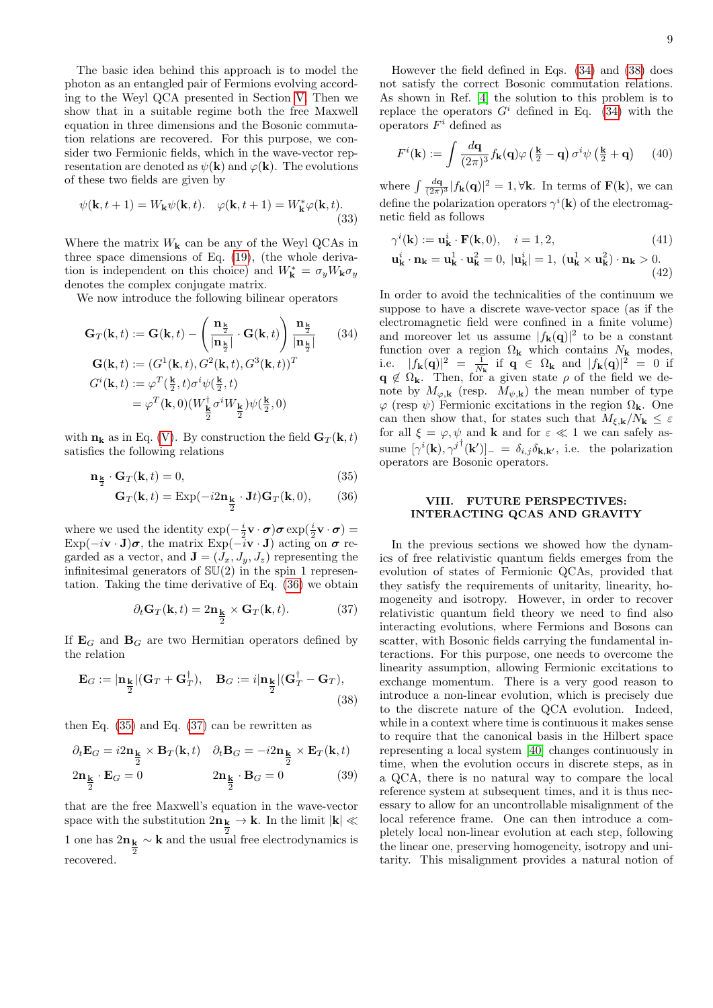The basic idea behind this approach is to model the photon as an entangled pair of Fermions evolving according to the Weyl QCA presented in Section [V.](#page-6-3) Then we show that in a suitable regime both the free Maxwell equation in three dimensions and the Bosonic commutation relations are recovered. For this purpose, we consider two Fermionic fields, which in the wave-vector representation are denoted as  $\psi(\mathbf{k})$  and  $\varphi(\mathbf{k})$ . The evolutions of these two fields are given by

$$
\psi(\mathbf{k}, t+1) = W_{\mathbf{k}}\psi(\mathbf{k}, t). \quad \varphi(\mathbf{k}, t+1) = W_{\mathbf{k}}^*\varphi(\mathbf{k}, t). \tag{33}
$$

Where the matrix  $W_{\mathbf{k}}$  can be any of the Weyl QCAs in three space dimensions of Eq. [\(19\)](#page-6-1), (the whole derivation is independent on this choice) and  $W_{\mathbf{k}}^* = \sigma_y W_{\mathbf{k}} \sigma_y$ denotes the complex conjugate matrix.

We now introduce the following bilinear operators

$$
\mathbf{G}_{T}(\mathbf{k},t) := \mathbf{G}(\mathbf{k},t) - \left(\frac{\mathbf{n}_{\frac{\mathbf{k}}{2}}}{|\mathbf{n}_{\frac{\frac{\mathbf{k}}{2}}|} \cdot \mathbf{G}(\mathbf{k},t)\right) \frac{\mathbf{n}_{\frac{\mathbf{k}}{2}}}{|\mathbf{n}_{\frac{\frac{\mathbf{k}}{2}}|}} \quad (34)
$$

$$
\mathbf{G}(\mathbf{k},t) := (G^{1}(\mathbf{k},t), G^{2}(\mathbf{k},t), G^{3}(\mathbf{k},t))^{T}
$$

$$
G^{i}(\mathbf{k},t) := \varphi^{T}(\frac{\mathbf{k}}{2},t)\sigma^{i}\psi(\frac{\mathbf{k}}{2},t)
$$

$$
= \varphi^{T}(\mathbf{k},0)(W_{\frac{\mathbf{k}}{2}}^{\dagger}\sigma^{i}W_{\frac{\mathbf{k}}{2}})\psi(\frac{\mathbf{k}}{2},0)
$$

with  $n_k$  as in Eq. [\(V\)](#page-6-4). By construction the field  $G_T(k, t)$ satisfies the following relations

$$
\mathbf{n}_{\frac{\mathbf{k}}{2}} \cdot \mathbf{G}_{T}(\mathbf{k}, t) = 0, \tag{35}
$$

$$
\mathbf{G}_{T}(\mathbf{k},t) = \text{Exp}(-i2\mathbf{n}_{\frac{\mathbf{k}}{2}} \cdot \mathbf{J}t)\mathbf{G}_{T}(\mathbf{k},0),\qquad(36)
$$

where we used the identity  $\exp(-\frac{i}{2}\mathbf{v}\cdot\boldsymbol{\sigma})\boldsymbol{\sigma}\exp(\frac{i}{2}\mathbf{v}\cdot\boldsymbol{\sigma})=$  $Exp(-i\mathbf{v} \cdot \mathbf{J})\boldsymbol{\sigma}$ , the matrix  $Exp(-i\mathbf{v} \cdot \mathbf{J})$  acting on  $\boldsymbol{\sigma}$  regarded as a vector, and  $\mathbf{J} = (J_x, J_y, J_z)$  representing the infinitesimal generators of  $SU(2)$  in the spin 1 representation. Taking the time derivative of Eq. [\(36\)](#page-8-1) we obtain

$$
\partial_t \mathbf{G}_T(\mathbf{k}, t) = 2\mathbf{n}_{\frac{\mathbf{k}}{2}} \times \mathbf{G}_T(\mathbf{k}, t). \tag{37}
$$

If  $\mathbf{E}_G$  and  $\mathbf{B}_G$  are two Hermitian operators defined by the relation

$$
\mathbf{E}_G := |\mathbf{n}_{\frac{\mathbf{k}}{2}}| (\mathbf{G}_T + \mathbf{G}_T^{\dagger}), \quad \mathbf{B}_G := i |\mathbf{n}_{\frac{\mathbf{k}}{2}}| (\mathbf{G}_T^{\dagger} - \mathbf{G}_T),
$$
\n(38)

then Eq. [\(35\)](#page-8-2) and Eq. [\(37\)](#page-8-3) can be rewritten as

$$
\partial_t \mathbf{E}_G = i2\mathbf{n}_{\frac{\mathbf{k}}{2}} \times \mathbf{B}_T(\mathbf{k}, t) \quad \partial_t \mathbf{B}_G = -i2\mathbf{n}_{\frac{\mathbf{k}}{2}} \times \mathbf{E}_T(\mathbf{k}, t)
$$
  

$$
2\mathbf{n}_{\frac{\mathbf{k}}{2}} \cdot \mathbf{E}_G = 0 \qquad 2\mathbf{n}_{\frac{\mathbf{k}}{2}} \cdot \mathbf{B}_G = 0 \qquad (39)
$$

that are the free Maxwell's equation in the wave-vector space with the substitution  $2n_k \to k$ . In the limit  $|k| \ll$ 1 one has  $2n_{\frac{k}{2}} \sim k$  and the usual  $\sim$  k and the usual free electrodynamics is recovered.

However the field defined in Eqs. [\(34\)](#page-8-4) and [\(38\)](#page-8-5) does not satisfy the correct Bosonic commutation relations. As shown in Ref. [\[4\]](#page-9-1) the solution to this problem is to replace the operators  $G^i$  defined in Eq. [\(34\)](#page-8-4) with the operators  $F^i$  defined as

$$
F^{i}(\mathbf{k}) := \int \frac{d\mathbf{q}}{(2\pi)^{3}} f_{\mathbf{k}}(\mathbf{q}) \varphi\left(\frac{\mathbf{k}}{2} - \mathbf{q}\right) \sigma^{i} \psi\left(\frac{\mathbf{k}}{2} + \mathbf{q}\right) \tag{40}
$$

where  $\int \frac{d\mathbf{q}}{(2\pi)^3} |f_{\mathbf{k}}(\mathbf{q})|^2 = 1, \forall \mathbf{k}$ . In terms of  $\mathbf{F}(\mathbf{k})$ , we can define the polarization operators  $\gamma^{i}(\mathbf{k})$  of the electromagnetic field as follows

$$
\gamma^{i}(\mathbf{k}) := \mathbf{u}_{\mathbf{k}}^{i} \cdot \mathbf{F}(\mathbf{k}, 0), \quad i = 1, 2,
$$
\n
$$
\mathbf{u}_{\mathbf{k}}^{i} \cdot \mathbf{n}_{\mathbf{k}} = \mathbf{u}_{\mathbf{k}}^{1} \cdot \mathbf{u}_{\mathbf{k}}^{2} = 0, \ |\mathbf{u}_{\mathbf{k}}^{i}| = 1, \ (\mathbf{u}_{\mathbf{k}}^{1} \times \mathbf{u}_{\mathbf{k}}^{2}) \cdot \mathbf{n}_{\mathbf{k}} > 0.
$$
\n
$$
\tag{42}
$$

<span id="page-8-4"></span>In order to avoid the technicalities of the continuum we suppose to have a discrete wave-vector space (as if the electromagnetic field were confined in a finite volume) and moreover let us assume  $|f_{\bf k}({\bf q})|^2$  to be a constant function over a region  $\Omega_{\mathbf{k}}$  which contains  $N_{\mathbf{k}}$  modes, i.e.  $|f_{\mathbf{k}}(\mathbf{q})|^2 = \frac{1}{N_{\mathbf{k}}}$  if  $\mathbf{q} \in \Omega_{\mathbf{k}}$  and  $|f_{\mathbf{k}}(\mathbf{q})|^2 = 0$  if  $\mathbf{q} \notin \Omega_{\mathbf{k}}$ . Then, for a given state  $\rho$  of the field we denote by  $M_{\varphi, \mathbf{k}}$  (resp.  $M_{\psi, \mathbf{k}}$ ) the mean number of type  $\varphi$  (resp  $\psi$ ) Fermionic excitations in the region  $\Omega_{\mathbf{k}}$ . One can then show that, for states such that  $M_{\xi, \mathbf{k}}/N_{\mathbf{k}} \leq \varepsilon$ for all  $\xi = \varphi, \psi$  and **k** and for  $\varepsilon \ll 1$  we can safely assume  $[\gamma^{i}(\mathbf{k}), {\gamma^{j}}^{\dagger}(\mathbf{k}')]_{-} = \delta_{i,j} \delta_{\mathbf{k},\mathbf{k}'}$ , i.e. the polarization operators are Bosonic operators.

## <span id="page-8-2"></span><span id="page-8-0"></span>VIII. FUTURE PERSPECTIVES: INTERACTING QCAS AND GRAVITY

<span id="page-8-5"></span><span id="page-8-3"></span><span id="page-8-1"></span>In the previous sections we showed how the dynamics of free relativistic quantum fields emerges from the evolution of states of Fermionic QCAs, provided that they satisfy the requirements of unitarity, linearity, homogeneity and isotropy. However, in order to recover relativistic quantum field theory we need to find also interacting evolutions, where Fermions and Bosons can scatter, with Bosonic fields carrying the fundamental interactions. For this purpose, one needs to overcome the linearity assumption, allowing Fermionic excitations to exchange momentum. There is a very good reason to introduce a non-linear evolution, which is precisely due to the discrete nature of the QCA evolution. Indeed, while in a context where time is continuous it makes sense to require that the canonical basis in the Hilbert space representing a local system [\[40\]](#page-9-25) changes continuously in time, when the evolution occurs in discrete steps, as in a QCA, there is no natural way to compare the local reference system at subsequent times, and it is thus necessary to allow for an uncontrollable misalignment of the local reference frame. One can then introduce a completely local non-linear evolution at each step, following the linear one, preserving homogeneity, isotropy and unitarity. This misalignment provides a natural notion of